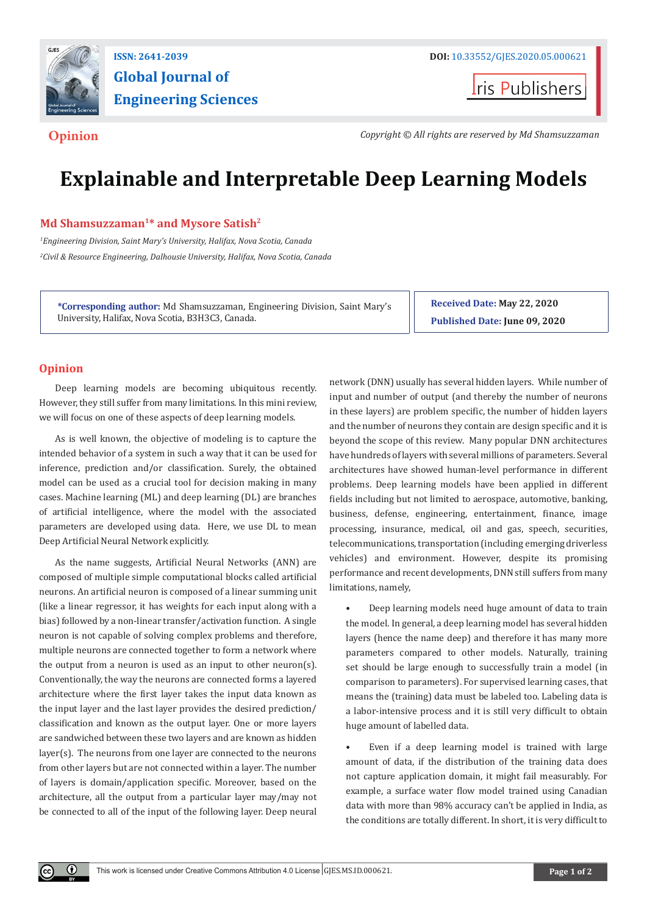

# **Global Journal of Engineering Sciences**

**I**ris Publishers

**Opinion** *Copyright © All rights are reserved by Md Shamsuzzaman*

## **Explainable and Interpretable Deep Learning Models**

#### Md Shamsuzzaman<sup>1\*</sup> and Mysore Satish<sup>2</sup>

*1 Engineering Division, Saint Mary's University, Halifax, Nova Scotia, Canada 2 Civil & Resource Engineering, Dalhousie University, Halifax, Nova Scotia, Canada*

**\*Corresponding author:** Md Shamsuzzaman, Engineering Division, Saint Mary's University, Halifax, Nova Scotia, B3H3C3, Canada.

**Received Date: May 22, 2020 Published Date: June 09, 2020**

### **Opinion**

 $\bf \bf 0$ 

Deep learning models are becoming ubiquitous recently. However, they still suffer from many limitations. In this mini review, we will focus on one of these aspects of deep learning models.

As is well known, the objective of modeling is to capture the intended behavior of a system in such a way that it can be used for inference, prediction and/or classification. Surely, the obtained model can be used as a crucial tool for decision making in many cases. Machine learning (ML) and deep learning (DL) are branches of artificial intelligence, where the model with the associated parameters are developed using data. Here, we use DL to mean Deep Artificial Neural Network explicitly.

As the name suggests, Artificial Neural Networks (ANN) are composed of multiple simple computational blocks called artificial neurons. An artificial neuron is composed of a linear summing unit (like a linear regressor, it has weights for each input along with a bias) followed by a non-linear transfer/activation function. A single neuron is not capable of solving complex problems and therefore, multiple neurons are connected together to form a network where the output from a neuron is used as an input to other neuron(s). Conventionally, the way the neurons are connected forms a layered architecture where the first layer takes the input data known as the input layer and the last layer provides the desired prediction/ classification and known as the output layer. One or more layers are sandwiched between these two layers and are known as hidden layer(s). The neurons from one layer are connected to the neurons from other layers but are not connected within a layer. The number of layers is domain/application specific. Moreover, based on the architecture, all the output from a particular layer may/may not be connected to all of the input of the following layer. Deep neural

network (DNN) usually has several hidden layers. While number of input and number of output (and thereby the number of neurons in these layers) are problem specific, the number of hidden layers and the number of neurons they contain are design specific and it is beyond the scope of this review. Many popular DNN architectures have hundreds of layers with several millions of parameters. Several architectures have showed human-level performance in different problems. Deep learning models have been applied in different fields including but not limited to aerospace, automotive, banking, business, defense, engineering, entertainment, finance, image processing, insurance, medical, oil and gas, speech, securities, telecommunications, transportation (including emerging driverless vehicles) and environment. However, despite its promising performance and recent developments, DNN still suffers from many limitations, namely,

• Deep learning models need huge amount of data to train the model. In general, a deep learning model has several hidden layers (hence the name deep) and therefore it has many more parameters compared to other models. Naturally, training set should be large enough to successfully train a model (in comparison to parameters). For supervised learning cases, that means the (training) data must be labeled too. Labeling data is a labor-intensive process and it is still very difficult to obtain huge amount of labelled data.

Even if a deep learning model is trained with large amount of data, if the distribution of the training data does not capture application domain, it might fail measurably. For example, a surface water flow model trained using Canadian data with more than 98% accuracy can't be applied in India, as the conditions are totally different. In short, it is very difficult to